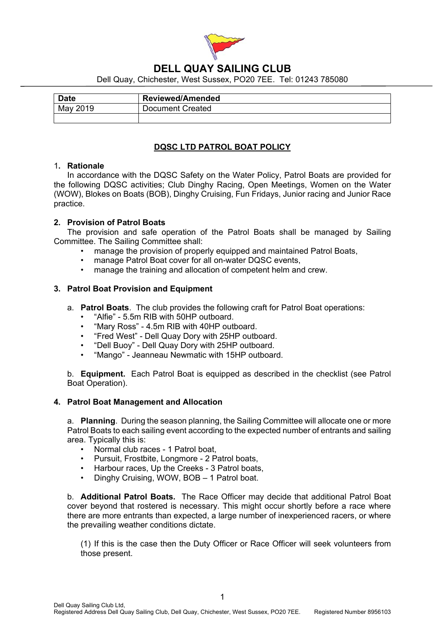

# **DELL QUAY SAILING CLUB**

Dell Quay, Chichester, West Sussex, PO20 7EE. Tel: 01243 785080

| <b>Date</b> | <b>Reviewed/Amended</b> |
|-------------|-------------------------|
| May 2019    | Document Created        |
|             |                         |

## **DQSC LTD PATROL BOAT POLICY**

### 1**. Rationale**

In accordance with the DQSC Safety on the Water Policy, Patrol Boats are provided for the following DQSC activities; Club Dinghy Racing, Open Meetings, Women on the Water (WOW), Blokes on Boats (BOB), Dinghy Cruising, Fun Fridays, Junior racing and Junior Race practice.

### **2. Provision of Patrol Boats**

 The provision and safe operation of the Patrol Boats shall be managed by Sailing Committee. The Sailing Committee shall:

- manage the provision of properly equipped and maintained Patrol Boats,
- manage Patrol Boat cover for all on-water DQSC events,
- manage the training and allocation of competent helm and crew.

### **3. Patrol Boat Provision and Equipment**

- a. **Patrol Boats**. The club provides the following craft for Patrol Boat operations:
	- "Alfie" 5.5m RIB with 50HP outboard.
	- "Mary Ross" 4.5m RIB with 40HP outboard.
	- "Fred West" Dell Quay Dory with 25HP outboard.
	- "Dell Buoy" Dell Quay Dory with 25HP outboard.
	- "Mango" Jeanneau Newmatic with 15HP outboard.

b. **Equipment.** Each Patrol Boat is equipped as described in the checklist (see Patrol Boat Operation).

#### **4. Patrol Boat Management and Allocation**

a. **Planning**. During the season planning, the Sailing Committee will allocate one or more Patrol Boats to each sailing event according to the expected number of entrants and sailing area. Typically this is:

- Normal club races 1 Patrol boat,
- Pursuit, Frostbite, Longmore 2 Patrol boats,
- Harbour races, Up the Creeks 3 Patrol boats,
- Dinghy Cruising, WOW, BOB 1 Patrol boat.

b. **Additional Patrol Boats.** The Race Officer may decide that additional Patrol Boat cover beyond that rostered is necessary. This might occur shortly before a race where there are more entrants than expected, a large number of inexperienced racers, or where the prevailing weather conditions dictate.

(1) If this is the case then the Duty Officer or Race Officer will seek volunteers from those present.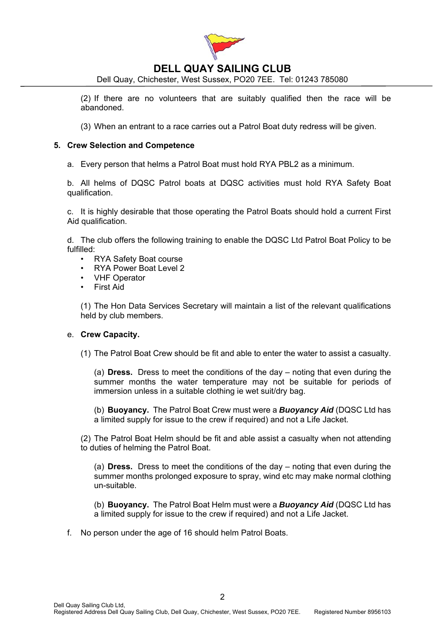

# **DELL QUAY SAILING CLUB**

Dell Quay, Chichester, West Sussex, PO20 7EE. Tel: 01243 785080

(2) If there are no volunteers that are suitably qualified then the race will be abandoned.

(3) When an entrant to a race carries out a Patrol Boat duty redress will be given.

#### **5. Crew Selection and Competence**

a. Every person that helms a Patrol Boat must hold RYA PBL2 as a minimum.

b. All helms of DQSC Patrol boats at DQSC activities must hold RYA Safety Boat qualification.

c. It is highly desirable that those operating the Patrol Boats should hold a current First Aid qualification.

d. The club offers the following training to enable the DQSC Ltd Patrol Boat Policy to be fulfilled:

- RYA Safety Boat course
- RYA Power Boat Level 2
- VHF Operator
- First Aid

(1) The Hon Data Services Secretary will maintain a list of the relevant qualifications held by club members.

#### e. **Crew Capacity.**

(1) The Patrol Boat Crew should be fit and able to enter the water to assist a casualty.

(a) **Dress.** Dress to meet the conditions of the day – noting that even during the summer months the water temperature may not be suitable for periods of immersion unless in a suitable clothing ie wet suit/dry bag.

(b) **Buoyancy.** The Patrol Boat Crew must were a *Buoyancy Aid* (DQSC Ltd has a limited supply for issue to the crew if required) and not a Life Jacket.

(2) The Patrol Boat Helm should be fit and able assist a casualty when not attending to duties of helming the Patrol Boat.

(a) **Dress.** Dress to meet the conditions of the day – noting that even during the summer months prolonged exposure to spray, wind etc may make normal clothing un-suitable.

(b) **Buoyancy.** The Patrol Boat Helm must were a *Buoyancy Aid* (DQSC Ltd has a limited supply for issue to the crew if required) and not a Life Jacket.

f. No person under the age of 16 should helm Patrol Boats.